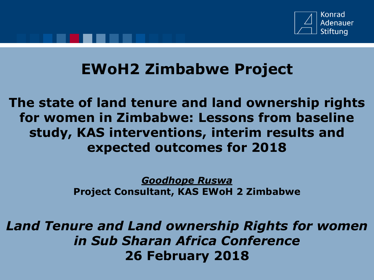

## **EWoH2 Zimbabwe Project**

**The state of land tenure and land ownership rights for women in Zimbabwe: Lessons from baseline study, KAS interventions, interim results and expected outcomes for 2018**

> *Goodhope Ruswa* **Project Consultant, KAS EWoH 2 Zimbabwe**

*Land Tenure and Land ownership Rights for women in Sub Sharan Africa Conference* **26 February 2018**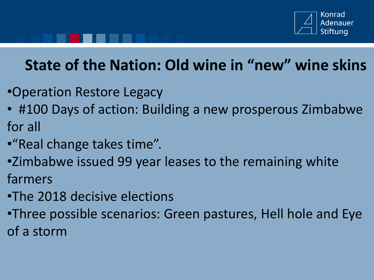

# **State of the Nation: Old wine in "new" wine skins**

- •Operation Restore Legacy
- #100 Days of action: Building a new prosperous Zimbabwe for all
- •"Real change takes time".
- •Zimbabwe issued 99 year leases to the remaining white farmers
- •The 2018 decisive elections
- •Three possible scenarios: Green pastures, Hell hole and Eye of a storm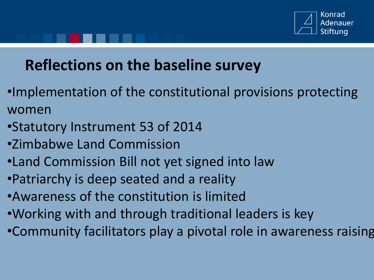

# **Reflections on the baseline survey**

- •Implementation of the constitutional provisions protecting women
- •Statutory Instrument 53 of 2014
- •Zimbabwe Land Commission
- •Land Commission Bill not yet signed into law
- •Patriarchy is deep seated and a reality
- •Awareness of the constitution is limited
- •Working with and through traditional leaders is key
- •Community facilitators play a pivotal role in awareness raising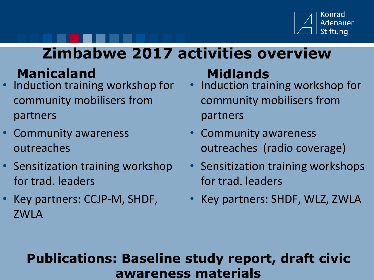

## **Zimbabwe 2017 activities overview**

## **Manicaland Midlands**

- Induction training workshop for community mobilisers from partners
- Community awareness outreaches
- Sensitization training workshop for trad. leaders
- Key partners: CCJP-M, SHDF, ZWLA

- Induction training workshop for community mobilisers from partners
- Community awareness outreaches (radio coverage)
- Sensitization training workshops for trad. leaders
- Key partners: SHDF, WLZ, ZWLA

#### **Publications: Baseline study report, draft civic awareness materials**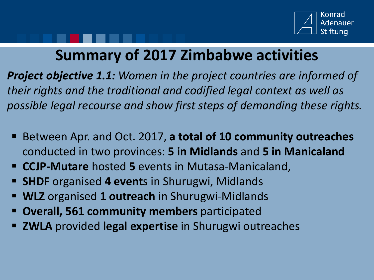

## **Summary of 2017 Zimbabwe activities**

*Project objective 1.1: Women in the project countries are informed of their rights and the traditional and codified legal context as well as possible legal recourse and show first steps of demanding these rights.*

- Between Apr. and Oct. 2017, **a total of 10 community outreaches**  conducted in two provinces: **5 in Midlands** and **5 in Manicaland**
- **CCJP-Mutare** hosted **5** events in Mutasa-Manicaland,
- **SHDF** organised **4 event**s in Shurugwi, Midlands
- **WLZ** organised **1 outreach** in Shurugwi-Midlands
- **Overall, 561 community members** participated
- **EXALA** provided **legal expertise** in Shurugwi outreaches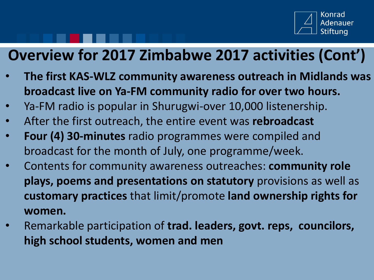

# **Overview for 2017 Zimbabwe 2017 activities (Cont')**

- **The first KAS-WLZ community awareness outreach in Midlands was broadcast live on Ya-FM community radio for over two hours.**
- Ya-FM radio is popular in Shurugwi-over 10,000 listenership.
- After the first outreach, the entire event was **rebroadcast**
- **Four (4) 30-minutes** radio programmes were compiled and broadcast for the month of July, one programme/week.
- Contents for community awareness outreaches: **community role plays, poems and presentations on statutory** provisions as well as **customary practices** that limit/promote **land ownership rights for women.**
- Remarkable participation of **trad. leaders, govt. reps, councilors, high school students, women and men**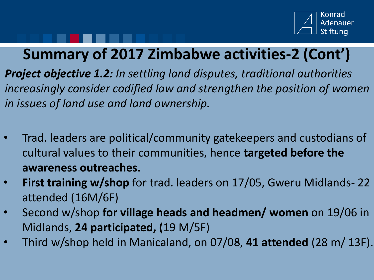

## **Summary of 2017 Zimbabwe activities-2 (Cont')**

*Project objective 1.2: In settling land disputes, traditional authorities increasingly consider codified law and strengthen the position of women in issues of land use and land ownership.* 

- Trad. leaders are political/community gatekeepers and custodians of cultural values to their communities, hence **targeted before the awareness outreaches.**
- **First training w/shop** for trad. leaders on 17/05, Gweru Midlands- 22 attended (16M/6F)
- Second w/shop **for village heads and headmen/ women** on 19/06 in Midlands, **24 participated, (**19 M/5F)
- Third w/shop held in Manicaland, on 07/08, **41 attended** (28 m/ 13F).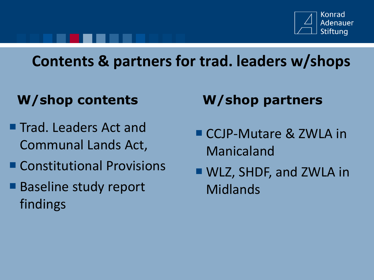

# **Contents & partners for trad. leaders w/shops**

#### **W/shop contents W/shop partners**

- Trad. Leaders Act and Communal Lands Act,
- Constitutional Provisions
- Baseline study report findings

- CCJP-Mutare & ZWLA in Manicaland
- WLZ, SHDF, and ZWLA in Midlands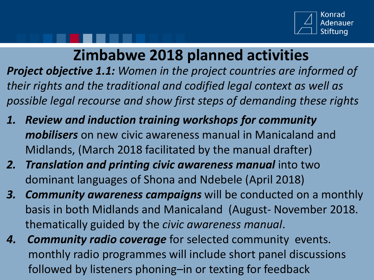

## **Zimbabwe 2018 planned activities**

*Project objective 1.1: Women in the project countries are informed of their rights and the traditional and codified legal context as well as possible legal recourse and show first steps of demanding these rights*

- *1. Review and induction training workshops for community mobilisers* on new civic awareness manual in Manicaland and Midlands, (March 2018 facilitated by the manual drafter)
- *2. Translation and printing civic awareness manual* into two dominant languages of Shona and Ndebele (April 2018)
- *3. Community awareness campaigns* will be conducted on a monthly basis in both Midlands and Manicaland (August- November 2018. thematically guided by the *civic awareness manual*.
- *4. Community radio coverage* for selected community events. monthly radio programmes will include short panel discussions followed by listeners phoning–in or texting for feedback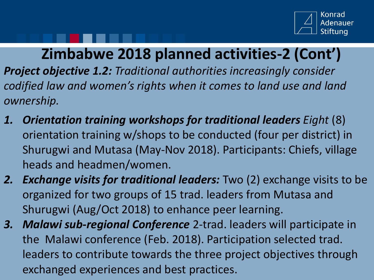

### **Zimbabwe 2018 planned activities-2 (Cont')**

*Project objective 1.2: Traditional authorities increasingly consider codified law and women's rights when it comes to land use and land ownership.* 

- *1. Orientation training workshops for traditional leaders Eight* (8) orientation training w/shops to be conducted (four per district) in Shurugwi and Mutasa (May-Nov 2018). Participants: Chiefs, village heads and headmen/women.
- *2. Exchange visits for traditional leaders:* Two (2) exchange visits to be organized for two groups of 15 trad. leaders from Mutasa and Shurugwi (Aug/Oct 2018) to enhance peer learning.
- *3. Malawi sub-regional Conference* 2-trad. leaders will participate in the Malawi conference (Feb. 2018). Participation selected trad. leaders to contribute towards the three project objectives through exchanged experiences and best practices.